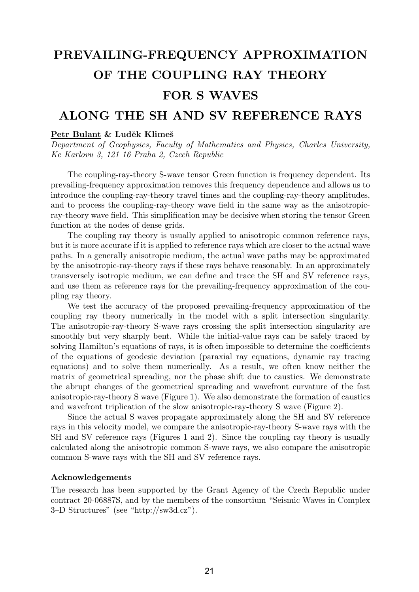## PREVAILING-FREQUENCY APPROXIMATION OF THE COUPLING RAY THEORY FOR S WAVES

## ALONG THE SH AND SV REFERENCE RAYS

## Petr Bulant & Luděk Klimeš

Department of Geophysics, Faculty of Mathematics and Physics, Charles University, Ke Karlovu 3, 121 16 Praha 2, Czech Republic

The coupling-ray-theory S-wave tensor Green function is frequency dependent. Its prevailing-frequency approximation removes this frequency dependence and allows us to introduce the coupling-ray-theory travel times and the coupling-ray-theory amplitudes, and to process the coupling-ray-theory wave field in the same way as the anisotropicray-theory wave field. This simplification may be decisive when storing the tensor Green function at the nodes of dense grids.

The coupling ray theory is usually applied to anisotropic common reference rays, but it is more accurate if it is applied to reference rays which are closer to the actual wave paths. In a generally anisotropic medium, the actual wave paths may be approximated by the anisotropic-ray-theory rays if these rays behave reasonably. In an approximately transversely isotropic medium, we can define and trace the SH and SV reference rays, and use them as reference rays for the prevailing-frequency approximation of the coupling ray theory.

We test the accuracy of the proposed prevailing-frequency approximation of the coupling ray theory numerically in the model with a split intersection singularity. The anisotropic-ray-theory S-wave rays crossing the split intersection singularity are smoothly but very sharply bent. While the initial-value rays can be safely traced by solving Hamilton's equations of rays, it is often impossible to determine the coefficients of the equations of geodesic deviation (paraxial ray equations, dynamic ray tracing equations) and to solve them numerically. As a result, we often know neither the matrix of geometrical spreading, nor the phase shift due to caustics. We demonstrate the abrupt changes of the geometrical spreading and wavefront curvature of the fast anisotropic-ray-theory S wave (Figure 1). We also demonstrate the formation of caustics and wavefront triplication of the slow anisotropic-ray-theory S wave (Figure 2).

Since the actual S waves propagate approximately along the SH and SV reference rays in this velocity model, we compare the anisotropic-ray-theory S-wave rays with the SH and SV reference rays (Figures 1 and 2). Since the coupling ray theory is usually calculated along the anisotropic common S-wave rays, we also compare the anisotropic common S-wave rays with the SH and SV reference rays.

## Acknowledgements

The research has been supported by the Grant Agency of the Czech Republic under contract 20-06887S, and by the members of the consortium "Seismic Waves in Complex 3–D Structures" (see "http://sw3d.cz").